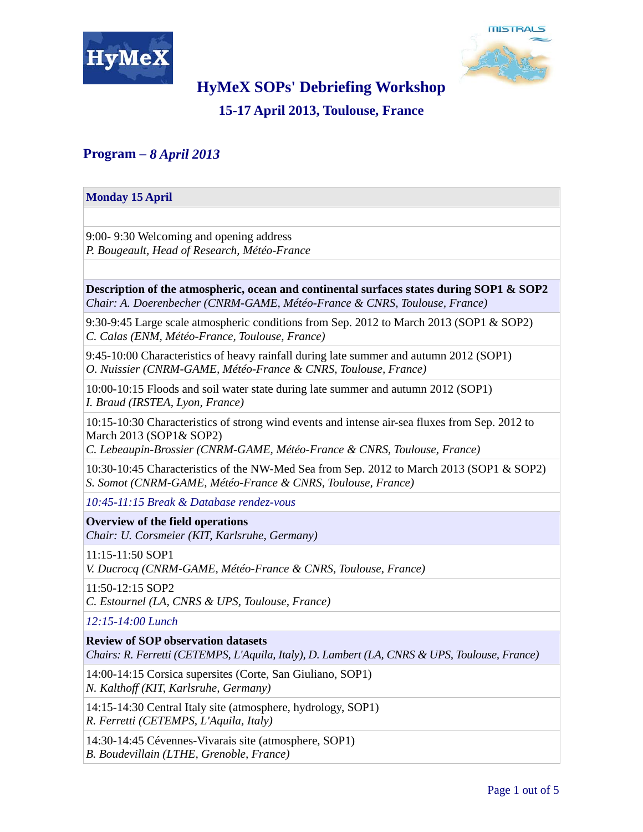



# **HyMeX SOPs' Debriefing Workshop**

**15-17 April 2013, Toulouse, France** 

## **Program –** *8 April 2013*

# **Monday 15 April** 9:00- 9:30 Welcoming and opening address *P. Bougeault, Head of Research, Météo-France* **Description of the atmospheric, ocean and continental surfaces states during SOP1 & SOP2** *Chair: A. Doerenbecher (CNRM-GAME, Météo-France & CNRS, Toulouse, France)* 9:30-9:45 Large scale atmospheric conditions from Sep. 2012 to March 2013 (SOP1 & SOP2) *C. Calas (ENM, Météo-France, Toulouse, France)* 9:45-10:00 Characteristics of heavy rainfall during late summer and autumn 2012 (SOP1) *O. Nuissier (CNRM-GAME, Météo-France & CNRS, Toulouse, France)* 10:00-10:15 Floods and soil water state during late summer and autumn 2012 (SOP1) *I. Braud (IRSTEA, Lyon, France)* 10:15-10:30 Characteristics of strong wind events and intense air-sea fluxes from Sep. 2012 to March 2013 (SOP1& SOP2) *C. Lebeaupin-Brossier (CNRM-GAME, Météo-France & CNRS, Toulouse, France)* 10:30-10:45 Characteristics of the NW-Med Sea from Sep. 2012 to March 2013 (SOP1 & SOP2) *S. Somot (CNRM-GAME, Météo-France & CNRS, Toulouse, France) 10:45-11:15 Break & Database rendez-vous* **Overview of the field operations** *Chair: U. Corsmeier (KIT, Karlsruhe, Germany)* 11:15-11:50 SOP1 *V. Ducrocq (CNRM-GAME, Météo-France & CNRS, Toulouse, France)* 11:50-12:15 SOP2 *C. Estournel (LA, CNRS & UPS, Toulouse, France) 12:15-14:00 Lunch* **Review of SOP observation datasets** *Chairs: R. Ferretti (CETEMPS, L'Aquila, Italy), D. Lambert (LA, CNRS & UPS, Toulouse, France)* 14:00-14:15 Corsica supersites (Corte, San Giuliano, SOP1) *N. Kalthoff (KIT, Karlsruhe, Germany)* 14:15-14:30 Central Italy site (atmosphere, hydrology, SOP1) *R. Ferretti (CETEMPS, L'Aquila, Italy)*

14:30-14:45 Cévennes-Vivarais site (atmosphere, SOP1)

*B. Boudevillain (LTHE, Grenoble, France)*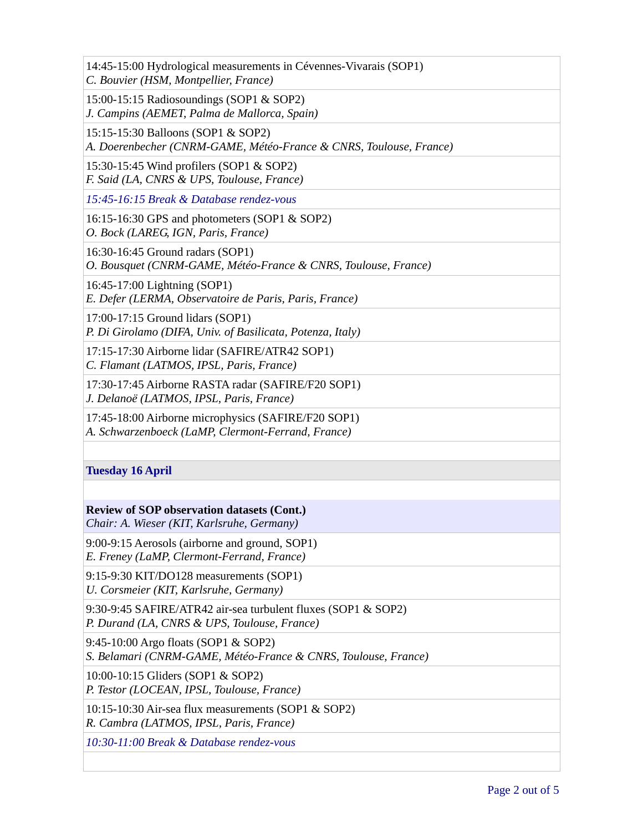| 14:45-15:00 Hydrological measurements in Cévennes-Vivarais (SOP1)<br>C. Bouvier (HSM, Montpellier, France)    |
|---------------------------------------------------------------------------------------------------------------|
| 15:00-15:15 Radiosoundings (SOP1 & SOP2)<br>J. Campins (AEMET, Palma de Mallorca, Spain)                      |
| 15:15-15:30 Balloons (SOP1 & SOP2)<br>A. Doerenbecher (CNRM-GAME, Météo-France & CNRS, Toulouse, France)      |
| 15:30-15:45 Wind profilers (SOP1 $&$ SOP2)<br>F. Said (LA, CNRS & UPS, Toulouse, France)                      |
| 15:45-16:15 Break & Database rendez-vous                                                                      |
| 16:15-16:30 GPS and photometers (SOP1 & SOP2)<br>O. Bock (LAREG, IGN, Paris, France)                          |
| 16:30-16:45 Ground radars (SOP1)<br>O. Bousquet (CNRM-GAME, Météo-France & CNRS, Toulouse, France)            |
| 16:45-17:00 Lightning (SOP1)<br>E. Defer (LERMA, Observatoire de Paris, Paris, France)                        |
| 17:00-17:15 Ground lidars (SOP1)<br>P. Di Girolamo (DIFA, Univ. of Basilicata, Potenza, Italy)                |
| 17:15-17:30 Airborne lidar (SAFIRE/ATR42 SOP1)<br>C. Flamant (LATMOS, IPSL, Paris, France)                    |
| 17:30-17:45 Airborne RASTA radar (SAFIRE/F20 SOP1)<br>J. Delanoë (LATMOS, IPSL, Paris, France)                |
| 17:45-18:00 Airborne microphysics (SAFIRE/F20 SOP1)<br>A. Schwarzenboeck (LaMP, Clermont-Ferrand, France)     |
|                                                                                                               |
| <b>Tuesday 16 April</b>                                                                                       |
|                                                                                                               |
| <b>Review of SOP observation datasets (Cont.)</b><br>Chair: A. Wieser (KIT, Karlsruhe, Germany)               |
| 9:00-9:15 Aerosols (airborne and ground, SOP1)<br>E. Freney (LaMP, Clermont-Ferrand, France)                  |
| 9:15-9:30 KIT/DO128 measurements (SOP1)<br>U. Corsmeier (KIT, Karlsruhe, Germany)                             |
| 9:30-9:45 SAFIRE/ATR42 air-sea turbulent fluxes (SOP1 & SOP2)<br>P. Durand (LA, CNRS & UPS, Toulouse, France) |
| 9:45-10:00 Argo floats (SOP1 & SOP2)<br>S. Belamari (CNRM-GAME, Météo-France & CNRS, Toulouse, France)        |
| 10:00-10:15 Gliders (SOP1 & SOP2)<br>P. Testor (LOCEAN, IPSL, Toulouse, France)                               |
| 10:15-10:30 Air-sea flux measurements (SOP1 & SOP2)<br>R. Cambra (LATMOS, IPSL, Paris, France)                |
| 10:30-11:00 Break & Database rendez-vous                                                                      |
|                                                                                                               |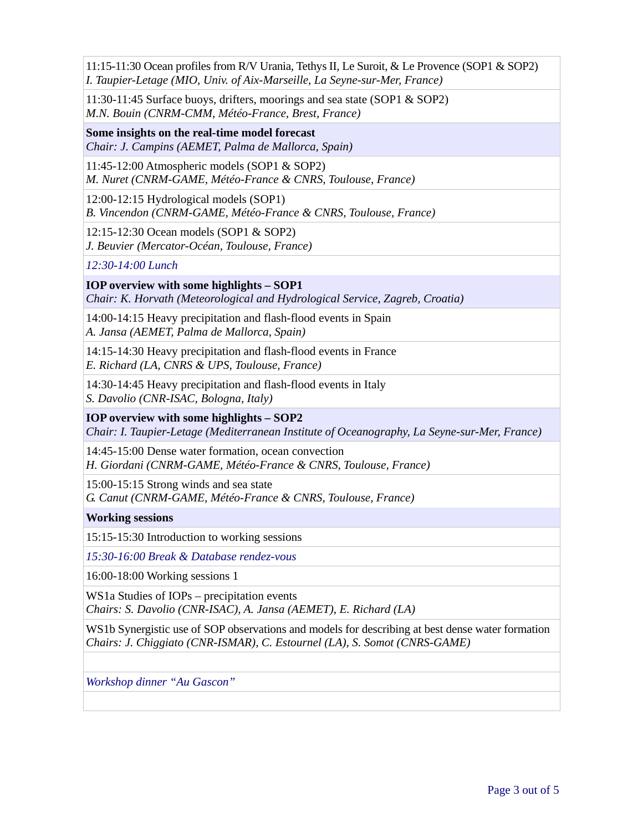11:15-11:30 Ocean profiles from R/V Urania, Tethys II, Le Suroit, & Le Provence (SOP1 & SOP2) *I. Taupier-Letage (MIO, Univ. of Aix-Marseille, La Seyne-sur-Mer, France)*

11:30-11:45 Surface buoys, drifters, moorings and sea state (SOP1 & SOP2) *M.N. Bouin (CNRM-CMM, Météo-France, Brest, France)*

**Some insights on the real-time model forecast** *Chair: J. Campins (AEMET, Palma de Mallorca, Spain)*

11:45-12:00 Atmospheric models (SOP1 & SOP2)

*M. Nuret (CNRM-GAME, Météo-France & CNRS, Toulouse, France)*

12:00-12:15 Hydrological models (SOP1) *B. Vincendon (CNRM-GAME, Météo-France & CNRS, Toulouse, France)*

12:15-12:30 Ocean models (SOP1 & SOP2) *J. Beuvier (Mercator-Océan, Toulouse, France)*

*12:30-14:00 Lunch*

**IOP overview with some highlights – SOP1** *Chair: K. Horvath (Meteorological and Hydrological Service, Zagreb, Croatia)*

14:00-14:15 Heavy precipitation and flash-flood events in Spain *A. Jansa (AEMET, Palma de Mallorca, Spain)*

14:15-14:30 Heavy precipitation and flash-flood events in France *E. Richard (LA, CNRS & UPS, Toulouse, France)*

14:30-14:45 Heavy precipitation and flash-flood events in Italy *S. Davolio (CNR-ISAC, Bologna, Italy)*

### **IOP overview with some highlights – SOP2**

*Chair: I. Taupier-Letage (Mediterranean Institute of Oceanography, La Seyne-sur-Mer, France)*

14:45-15:00 Dense water formation, ocean convection *H. Giordani (CNRM-GAME, Météo-France & CNRS, Toulouse, France)*

15:00-15:15 Strong winds and sea state *G. Canut (CNRM-GAME, Météo-France & CNRS, Toulouse, France)*

### **Working sessions**

15:15-15:30 Introduction to working sessions

*15:30-16:00 Break & Database rendez-vous*

16:00-18:00 Working sessions 1

WS1a Studies of IOPs – precipitation events *Chairs: S. Davolio (CNR-ISAC), A. Jansa (AEMET), E. Richard (LA)*

WS1b Synergistic use of SOP observations and models for describing at best dense water formation *Chairs: J. Chiggiato (CNR-ISMAR), C. Estournel (LA), S. Somot (CNRS-GAME)*

*Workshop dinner "Au Gascon"*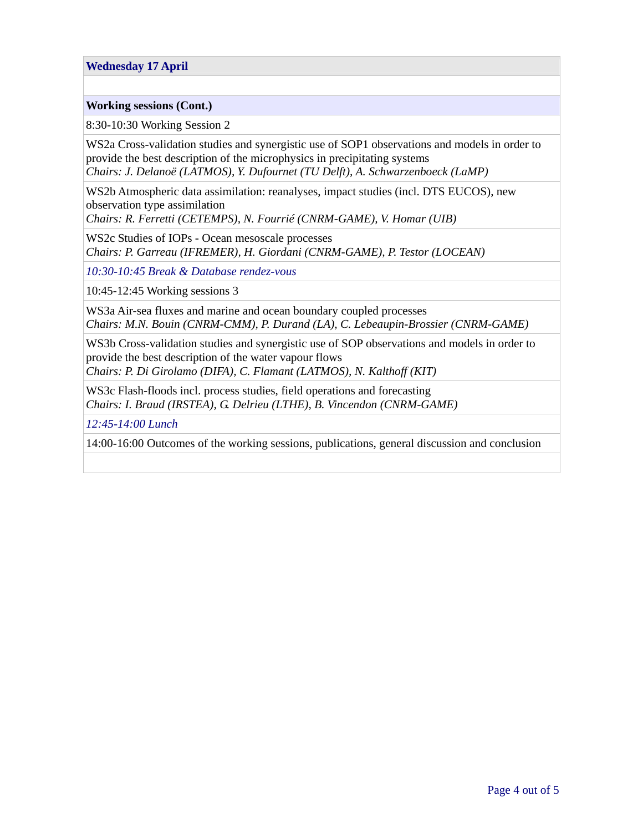### **Wednesday 17 April**

#### **Working sessions (Cont.)**

8:30-10:30 Working Session 2

WS2a Cross-validation studies and synergistic use of SOP1 observations and models in order to provide the best description of the microphysics in precipitating systems *Chairs: J. Delanoë (LATMOS), Y. Dufournet (TU Delft), A. Schwarzenboeck (LaMP)*

WS2b Atmospheric data assimilation: reanalyses, impact studies (incl. DTS EUCOS), new observation type assimilation

*Chairs: R. Ferretti (CETEMPS), N. Fourrié (CNRM-GAME), V. Homar (UIB)*

WS2c Studies of IOPs - Ocean mesoscale processes *Chairs: P. Garreau (IFREMER), H. Giordani (CNRM-GAME), P. Testor (LOCEAN)* 

*10:30-10:45 Break & Database rendez-vous*

10:45-12:45 Working sessions 3

WS3a Air-sea fluxes and marine and ocean boundary coupled processes *Chairs: M.N. Bouin (CNRM-CMM), P. Durand (LA), C. Lebeaupin-Brossier (CNRM-GAME)*

WS3b Cross-validation studies and synergistic use of SOP observations and models in order to provide the best description of the water vapour flows

*Chairs: P. Di Girolamo (DIFA), C. Flamant (LATMOS), N. Kalthoff (KIT)*

WS3c Flash-floods incl. process studies, field operations and forecasting *Chairs: I. Braud (IRSTEA), G. Delrieu (LTHE), B. Vincendon (CNRM-GAME)*

*12:45-14:00 Lunch* 

14:00-16:00 Outcomes of the working sessions, publications, general discussion and conclusion